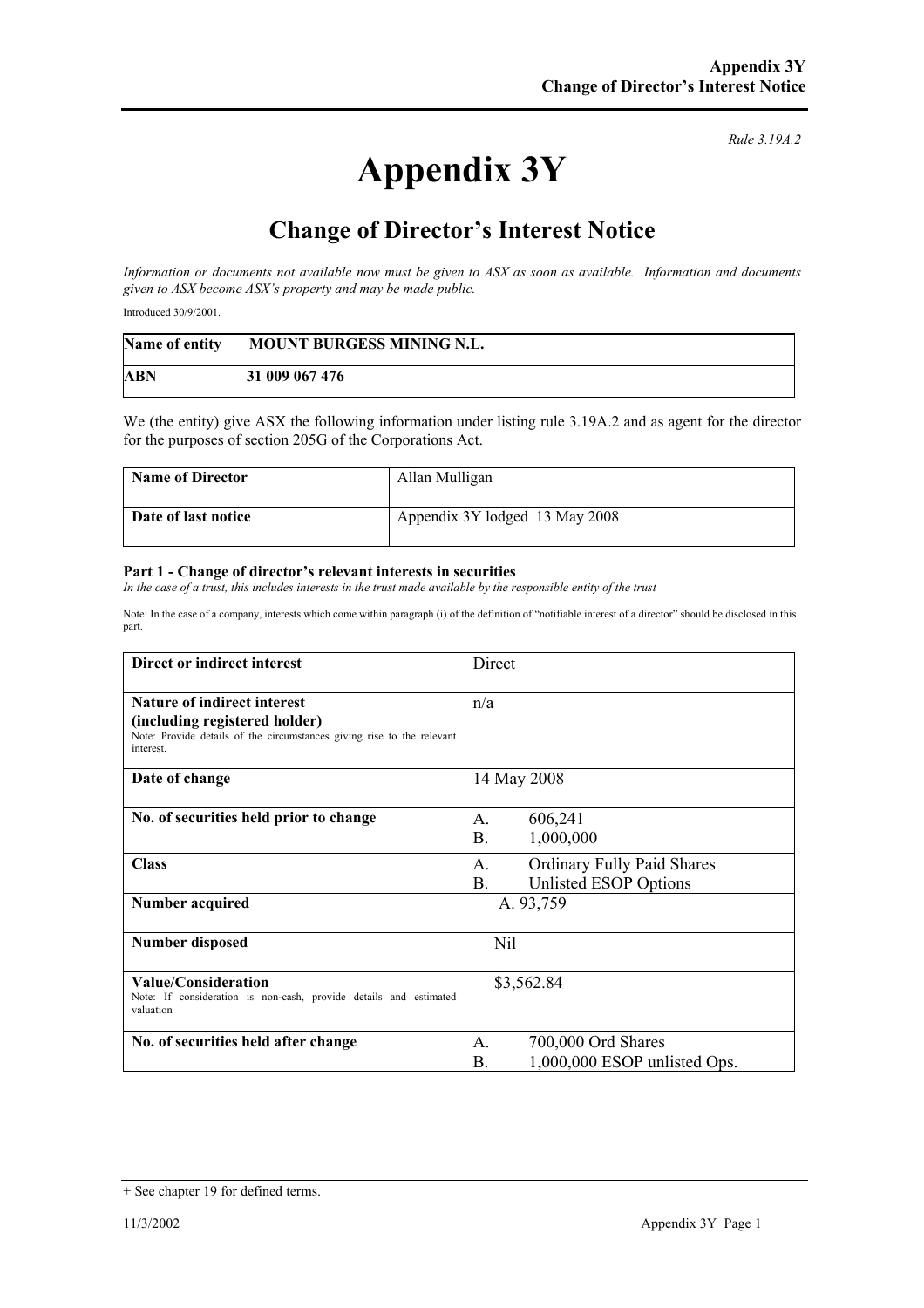## **Appendix 3Y**

*Rule 3.19A.2*

## **Change of Director's Interest Notice**

*Information or documents not available now must be given to ASX as soon as available. Information and documents given to ASX become ASX's property and may be made public.* 

Introduced 30/9/2001.

| Name of entity | <b>MOUNT BURGESS MINING N.L.</b> |
|----------------|----------------------------------|
| <b>ABN</b>     | 31 009 067 476                   |

We (the entity) give ASX the following information under listing rule 3.19A.2 and as agent for the director for the purposes of section 205G of the Corporations Act.

| <b>Name of Director</b> | Allan Mulligan                 |
|-------------------------|--------------------------------|
| Date of last notice     | Appendix 3Y lodged 13 May 2008 |

## **Part 1 - Change of director's relevant interests in securities**

In the case of a trust, this includes interests in the trust made available by the responsible entity of the trust

Note: In the case of a company, interests which come within paragraph (i) of the definition of "notifiable interest of a director" should be disclosed in this part.

| Direct or indirect interest                                                                                                                                | Direct                                                                        |
|------------------------------------------------------------------------------------------------------------------------------------------------------------|-------------------------------------------------------------------------------|
| <b>Nature of indirect interest</b><br>(including registered holder)<br>Note: Provide details of the circumstances giving rise to the relevant<br>interest. | n/a                                                                           |
| Date of change                                                                                                                                             | 14 May 2008                                                                   |
| No. of securities held prior to change                                                                                                                     | 606,241<br>A.<br><b>B.</b><br>1,000,000                                       |
| <b>Class</b>                                                                                                                                               | <b>Ordinary Fully Paid Shares</b><br>A.<br><b>B.</b><br>Unlisted ESOP Options |
| Number acquired                                                                                                                                            | A. 93,759                                                                     |
| <b>Number disposed</b>                                                                                                                                     | <b>Nil</b>                                                                    |
| Value/Consideration<br>Note: If consideration is non-cash, provide details and estimated<br>valuation                                                      | \$3,562.84                                                                    |
| No. of securities held after change                                                                                                                        | 700,000 Ord Shares<br>A.<br>1,000,000 ESOP unlisted Ops.<br>Β.                |

<sup>+</sup> See chapter 19 for defined terms.